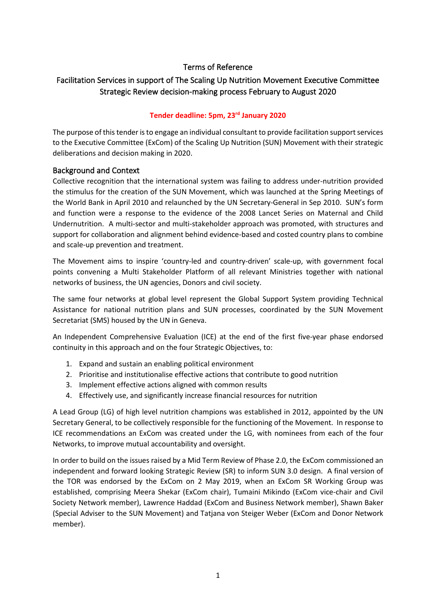# Terms of Reference

# Facilitation Services in support of The Scaling Up Nutrition Movement Executive Committee Strategic Review decision-making process February to August 2020

### **Tender deadline: 5pm, 23rd January 2020**

The purpose of this tender is to engage an individual consultant to provide facilitation support services to the Executive Committee (ExCom) of the Scaling Up Nutrition (SUN) Movement with their strategic deliberations and decision making in 2020.

### Background and Context

Collective recognition that the international system was failing to address under-nutrition provided the stimulus for the creation of the SUN Movement, which was launched at the Spring Meetings of the World Bank in April 2010 and relaunched by the UN Secretary-General in Sep 2010. SUN's form and function were a response to the evidence of the 2008 Lancet Series on Maternal and Child Undernutrition. A multi-sector and multi-stakeholder approach was promoted, with structures and support for collaboration and alignment behind evidence-based and costed country plans to combine and scale-up prevention and treatment.

The Movement aims to inspire 'country-led and country-driven' scale-up, with government focal points convening a Multi Stakeholder Platform of all relevant Ministries together with national networks of business, the UN agencies, Donors and civil society.

The same four networks at global level represent the Global Support System providing Technical Assistance for national nutrition plans and SUN processes, coordinated by the SUN Movement Secretariat (SMS) housed by the UN in Geneva.

An Independent Comprehensive Evaluation (ICE) at the end of the first five-year phase endorsed continuity in this approach and on the four Strategic Objectives, to:

- 1. Expand and sustain an enabling political environment
- 2. Prioritise and institutionalise effective actions that contribute to good nutrition
- 3. Implement effective actions aligned with common results
- 4. Effectively use, and significantly increase financial resources for nutrition

A Lead Group (LG) of high level nutrition champions was established in 2012, appointed by the UN Secretary General, to be collectively responsible for the functioning of the Movement. In response to ICE recommendations an ExCom was created under the LG, with nominees from each of the four Networks, to improve mutual accountability and oversight.

In order to build on the issues raised by a Mid Term Review of Phase 2.0, the ExCom commissioned an independent and forward looking Strategic Review (SR) to inform SUN 3.0 design. A final version of the TOR was endorsed by the ExCom on 2 May 2019, when an ExCom SR Working Group was established, comprising Meera Shekar (ExCom chair), Tumaini Mikindo (ExCom vice-chair and Civil Society Network member), Lawrence Haddad (ExCom and Business Network member), Shawn Baker (Special Adviser to the SUN Movement) and Tatjana von Steiger Weber (ExCom and Donor Network member).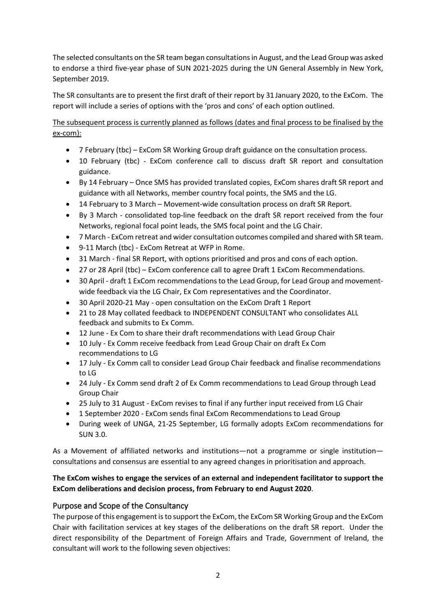The selected consultants on the SR team began consultations in August, and the Lead Group was asked to endorse a third five-year phase of SUN 2021-2025 during the UN General Assembly in New York, September 2019.

The SR consultants are to present the first draft of their report by 31 January 2020, to the ExCom. The report will include a series of options with the 'pros and cons' of each option outlined.

The subsequent process is currently planned as follows (dates and final process to be finalised by the ex-com):

- 7 February (tbc) ExCom SR Working Group draft guidance on the consultation process.
- 10 February (tbc) ExCom conference call to discuss draft SR report and consultation guidance.
- By 14 February Once SMS has provided translated copies, ExCom shares draft SR report and guidance with all Networks, member country focal points, the SMS and the LG.
- 14 February to 3 March Movement-wide consultation process on draft SR Report.
- By 3 March consolidated top-line feedback on the draft SR report received from the four Networks, regional focal point leads, the SMS focal point and the LG Chair.
- 7 March ExCom retreat and wider consultation outcomes compiled and shared with SR team.
- 9-11 March (tbc) ExCom Retreat at WFP in Rome.
- 31 March final SR Report, with options prioritised and pros and cons of each option.
- 27 or 28 April (tbc) ExCom conference call to agree Draft 1 ExCom Recommendations.
- 30 April draft 1 ExCom recommendations to the Lead Group, for Lead Group and movementwide feedback via the LG Chair, Ex Com representatives and the Coordinator.
- 30 April 2020-21 May open consultation on the ExCom Draft 1 Report
- 21 to 28 May collated feedback to INDEPENDENT CONSULTANT who consolidates ALL feedback and submits to Ex Comm.
- 12 June Ex Com to share their draft recommendations with Lead Group Chair
- 10 July Ex Comm receive feedback from Lead Group Chair on draft Ex Com recommendations to LG
- 17 July Ex Comm call to consider Lead Group Chair feedback and finalise recommendations to LG
- 24 July Ex Comm send draft 2 of Ex Comm recommendations to Lead Group through Lead Group Chair
- 25 July to 31 August ExCom revises to final if any further input received from LG Chair
- 1 September 2020 ExCom sends final ExCom Recommendations to Lead Group
- During week of UNGA, 21-25 September, LG formally adopts ExCom recommendations for SUN 3.0.

As a Movement of affiliated networks and institutions—not a programme or single institution consultations and consensus are essential to any agreed changes in prioritisation and approach.

# **The ExCom wishes to engage the services of an external and independent facilitator to support the ExCom deliberations and decision process, from February to end August 2020**.

# Purpose and Scope of the Consultancy

The purpose of this engagementis to support the ExCom, the ExCom SR Working Group and the ExCom Chair with facilitation services at key stages of the deliberations on the draft SR report. Under the direct responsibility of the Department of Foreign Affairs and Trade, Government of Ireland, the consultant will work to the following seven objectives: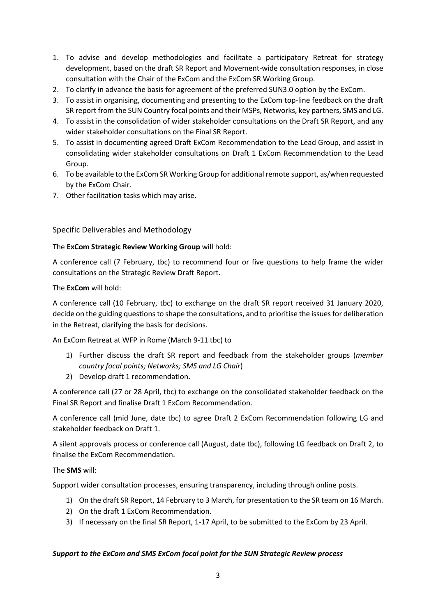- 1. To advise and develop methodologies and facilitate a participatory Retreat for strategy development, based on the draft SR Report and Movement-wide consultation responses, in close consultation with the Chair of the ExCom and the ExCom SR Working Group.
- 2. To clarify in advance the basis for agreement of the preferred SUN3.0 option by the ExCom.
- 3. To assist in organising, documenting and presenting to the ExCom top-line feedback on the draft SR report from the SUN Country focal points and their MSPs, Networks, key partners, SMS and LG.
- 4. To assist in the consolidation of wider stakeholder consultations on the Draft SR Report, and any wider stakeholder consultations on the Final SR Report.
- 5. To assist in documenting agreed Draft ExCom Recommendation to the Lead Group, and assist in consolidating wider stakeholder consultations on Draft 1 ExCom Recommendation to the Lead Group.
- 6. To be available to the ExCom SR Working Group for additional remote support, as/when requested by the ExCom Chair.
- 7. Other facilitation tasks which may arise.

## Specific Deliverables and Methodology

## The **ExCom Strategic Review Working Group** will hold:

A conference call (7 February, tbc) to recommend four or five questions to help frame the wider consultations on the Strategic Review Draft Report.

### The **ExCom** will hold:

A conference call (10 February, tbc) to exchange on the draft SR report received 31 January 2020, decide on the guiding questions to shape the consultations, and to prioritise the issues for deliberation in the Retreat, clarifying the basis for decisions.

An ExCom Retreat at WFP in Rome (March 9-11 tbc) to

- 1) Further discuss the draft SR report and feedback from the stakeholder groups (*member country focal points; Networks; SMS and LG Chair*)
- 2) Develop draft 1 recommendation.

A conference call (27 or 28 April, tbc) to exchange on the consolidated stakeholder feedback on the Final SR Report and finalise Draft 1 ExCom Recommendation.

A conference call (mid June, date tbc) to agree Draft 2 ExCom Recommendation following LG and stakeholder feedback on Draft 1.

A silent approvals process or conference call (August, date tbc), following LG feedback on Draft 2, to finalise the ExCom Recommendation.

## The **SMS** will:

Support wider consultation processes, ensuring transparency, including through online posts.

- 1) On the draft SR Report, 14 February to 3 March, for presentation to the SR team on 16 March.
- 2) On the draft 1 ExCom Recommendation.
- 3) If necessary on the final SR Report, 1-17 April, to be submitted to the ExCom by 23 April.

## *Support to the ExCom and SMS ExCom focal point for the SUN Strategic Review process*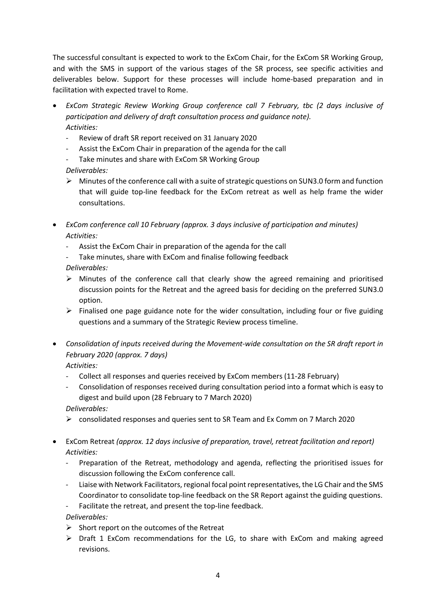The successful consultant is expected to work to the ExCom Chair, for the ExCom SR Working Group, and with the SMS in support of the various stages of the SR process, see specific activities and deliverables below. Support for these processes will include home-based preparation and in facilitation with expected travel to Rome.

- *ExCom Strategic Review Working Group conference call 7 February, tbc (2 days inclusive of participation and delivery of draft consultation process and guidance note). Activities:*
	- Review of draft SR report received on 31 January 2020
	- Assist the ExCom Chair in preparation of the agenda for the call
	- Take minutes and share with ExCom SR Working Group *Deliverables:*
	- $\triangleright$  Minutes of the conference call with a suite of strategic questions on SUN3.0 form and function that will guide top-line feedback for the ExCom retreat as well as help frame the wider consultations.
- *ExCom conference call 10 February (approx. 3 days inclusive of participation and minutes) Activities:*
	- Assist the ExCom Chair in preparation of the agenda for the call
	- Take minutes, share with ExCom and finalise following feedback
	- *Deliverables:*
	- $\triangleright$  Minutes of the conference call that clearly show the agreed remaining and prioritised discussion points for the Retreat and the agreed basis for deciding on the preferred SUN3.0 option.
	- $\triangleright$  Finalised one page guidance note for the wider consultation, including four or five guiding questions and a summary of the Strategic Review process timeline.
- *Consolidation of inputs received during the Movement-wide consultation on the SR draft report in February 2020 (approx. 7 days)*
	- *Activities:*
	- Collect all responses and queries received by ExCom members (11-28 February)
	- Consolidation of responses received during consultation period into a format which is easy to digest and build upon (28 February to 7 March 2020)

*Deliverables:*

- consolidated responses and queries sent to SR Team and Ex Comm on 7 March 2020
- ExCom Retreat *(approx. 12 days inclusive of preparation, travel, retreat facilitation and report) Activities:*
	- Preparation of the Retreat, methodology and agenda, reflecting the prioritised issues for discussion following the ExCom conference call.
	- Liaise with Network Facilitators, regional focal point representatives, the LG Chair and the SMS Coordinator to consolidate top-line feedback on the SR Report against the guiding questions.
	- Facilitate the retreat, and present the top-line feedback.

*Deliverables:*

- $\triangleright$  Short report on the outcomes of the Retreat
- $\triangleright$  Draft 1 ExCom recommendations for the LG, to share with ExCom and making agreed revisions.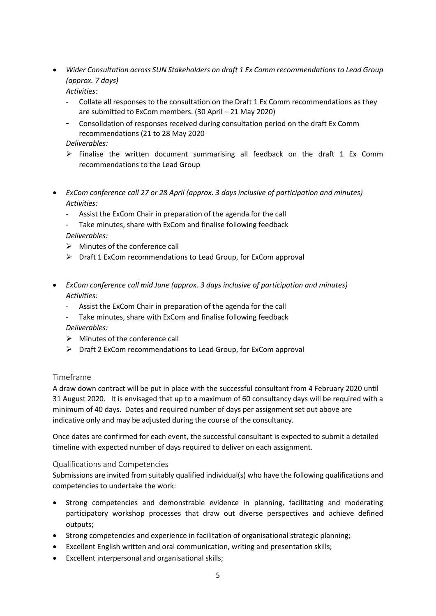• *Wider Consultation across SUN Stakeholders on draft 1 Ex Comm recommendations to Lead Group (approx. 7 days)*

*Activities:*

- Collate all responses to the consultation on the Draft 1 Ex Comm recommendations as they are submitted to ExCom members. (30 April – 21 May 2020)
- Consolidation of responses received during consultation period on the draft Ex Comm recommendations (21 to 28 May 2020

## *Deliverables:*

- $\triangleright$  Finalise the written document summarising all feedback on the draft 1 Ex Comm recommendations to the Lead Group
- *ExCom conference call 27 or 28 April (approx. 3 days inclusive of participation and minutes) Activities:*
	- Assist the ExCom Chair in preparation of the agenda for the call
	- Take minutes, share with ExCom and finalise following feedback *Deliverables:*
	- $\triangleright$  Minutes of the conference call
	- $\triangleright$  Draft 1 ExCom recommendations to Lead Group, for ExCom approval
- *ExCom conference call mid June (approx. 3 days inclusive of participation and minutes) Activities:*
	- Assist the ExCom Chair in preparation of the agenda for the call
	- Take minutes, share with ExCom and finalise following feedback *Deliverables:*
	- $\triangleright$  Minutes of the conference call
	- $\triangleright$  Draft 2 ExCom recommendations to Lead Group, for ExCom approval

# Timeframe

A draw down contract will be put in place with the successful consultant from 4 February 2020 until 31 August 2020. It is envisaged that up to a maximum of 60 consultancy days will be required with a minimum of 40 days. Dates and required number of days per assignment set out above are indicative only and may be adjusted during the course of the consultancy.

Once dates are confirmed for each event, the successful consultant is expected to submit a detailed timeline with expected number of days required to deliver on each assignment.

## Qualifications and Competencies

Submissions are invited from suitably qualified individual(s) who have the following qualifications and competencies to undertake the work:

- Strong competencies and demonstrable evidence in planning, facilitating and moderating participatory workshop processes that draw out diverse perspectives and achieve defined outputs;
- Strong competencies and experience in facilitation of organisational strategic planning;
- Excellent English written and oral communication, writing and presentation skills;
- Excellent interpersonal and organisational skills;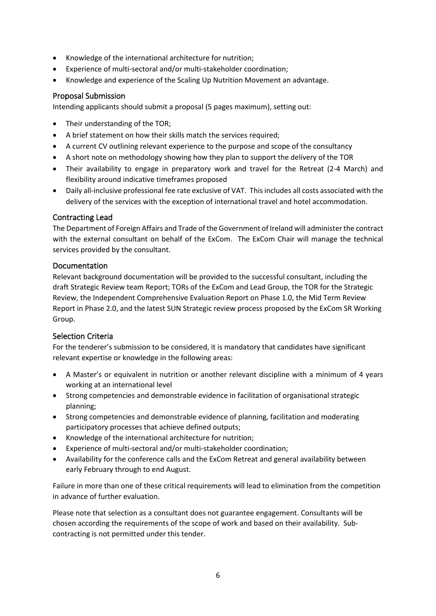- Knowledge of the international architecture for nutrition;
- Experience of multi-sectoral and/or multi-stakeholder coordination;
- Knowledge and experience of the Scaling Up Nutrition Movement an advantage.

# Proposal Submission

Intending applicants should submit a proposal (5 pages maximum), setting out:

- Their understanding of the TOR;
- A brief statement on how their skills match the services required;
- A current CV outlining relevant experience to the purpose and scope of the consultancy
- A short note on methodology showing how they plan to support the delivery of the TOR
- Their availability to engage in preparatory work and travel for the Retreat (2-4 March) and flexibility around indicative timeframes proposed
- Daily all-inclusive professional fee rate exclusive of VAT. This includes all costs associated with the delivery of the services with the exception of international travel and hotel accommodation.

## Contracting Lead

The Department of Foreign Affairs and Trade of the Government of Ireland will administer the contract with the external consultant on behalf of the ExCom. The ExCom Chair will manage the technical services provided by the consultant.

## Documentation

Relevant background documentation will be provided to the successful consultant, including the draft Strategic Review team Report; TORs of the ExCom and Lead Group, the TOR for the Strategic Review, the Independent Comprehensive Evaluation Report on Phase 1.0, the Mid Term Review Report in Phase 2.0, and the latest SUN Strategic review process proposed by the ExCom SR Working Group.

# Selection Criteria

For the tenderer's submission to be considered, it is mandatory that candidates have significant relevant expertise or knowledge in the following areas:

- A Master's or equivalent in nutrition or another relevant discipline with a minimum of 4 years working at an international level
- Strong competencies and demonstrable evidence in facilitation of organisational strategic planning;
- Strong competencies and demonstrable evidence of planning, facilitation and moderating participatory processes that achieve defined outputs;
- Knowledge of the international architecture for nutrition;
- Experience of multi-sectoral and/or multi-stakeholder coordination;
- Availability for the conference calls and the ExCom Retreat and general availability between early February through to end August.

Failure in more than one of these critical requirements will lead to elimination from the competition in advance of further evaluation.

Please note that selection as a consultant does not guarantee engagement. Consultants will be chosen according the requirements of the scope of work and based on their availability. Subcontracting is not permitted under this tender.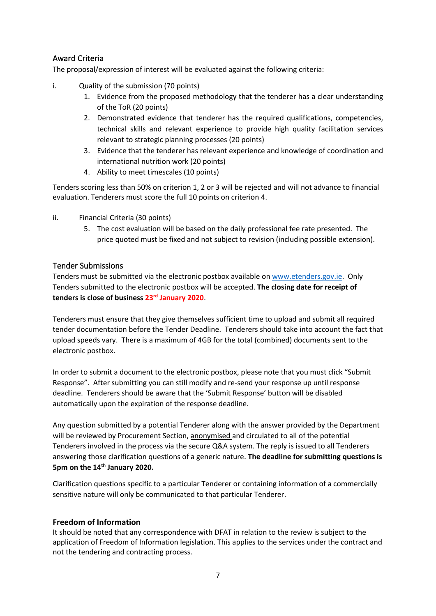# Award Criteria

The proposal/expression of interest will be evaluated against the following criteria:

- i. Quality of the submission (70 points)
	- 1. Evidence from the proposed methodology that the tenderer has a clear understanding of the ToR (20 points)
	- 2. Demonstrated evidence that tenderer has the required qualifications, competencies, technical skills and relevant experience to provide high quality facilitation services relevant to strategic planning processes (20 points)
	- 3. Evidence that the tenderer has relevant experience and knowledge of coordination and international nutrition work (20 points)
	- 4. Ability to meet timescales (10 points)

Tenders scoring less than 50% on criterion 1, 2 or 3 will be rejected and will not advance to financial evaluation. Tenderers must score the full 10 points on criterion 4.

- ii. Financial Criteria (30 points)
	- 5. The cost evaluation will be based on the daily professional fee rate presented. The price quoted must be fixed and not subject to revision (including possible extension).

## Tender Submissions

Tenders must be submitted via the electronic postbox available on www.etenders.gov.ie. Only Tenders submitted to the electronic postbox will be accepted. **The closing date for receipt of tenders is close of business 23rd January 2020**.

Tenderers must ensure that they give themselves sufficient time to upload and submit all required tender documentation before the Tender Deadline. Tenderers should take into account the fact that upload speeds vary. There is a maximum of 4GB for the total (combined) documents sent to the electronic postbox.

In order to submit a document to the electronic postbox, please note that you must click "Submit Response". After submitting you can still modify and re-send your response up until response deadline. Tenderers should be aware that the 'Submit Response' button will be disabled automatically upon the expiration of the response deadline.

Any question submitted by a potential Tenderer along with the answer provided by the Department will be reviewed by Procurement Section, anonymised and circulated to all of the potential Tenderers involved in the process via the secure Q&A system. The reply is issued to all Tenderers answering those clarification questions of a generic nature. **The deadline for submitting questions is 5pm on the 14th January 2020.**

Clarification questions specific to a particular Tenderer or containing information of a commercially sensitive nature will only be communicated to that particular Tenderer.

# **Freedom of Information**

It should be noted that any correspondence with DFAT in relation to the review is subject to the application of Freedom of Information legislation. This applies to the services under the contract and not the tendering and contracting process.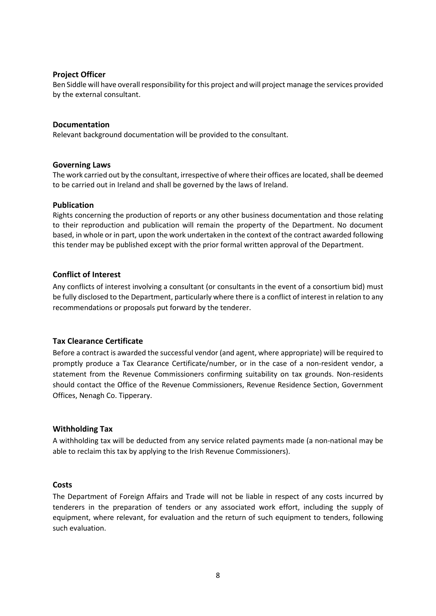### **Project Officer**

Ben Siddle will have overall responsibility for this project and will project manage the services provided by the external consultant.

#### **Documentation**

Relevant background documentation will be provided to the consultant.

#### **Governing Laws**

The work carried out by the consultant, irrespective of where their offices are located, shall be deemed to be carried out in Ireland and shall be governed by the laws of Ireland.

#### **Publication**

Rights concerning the production of reports or any other business documentation and those relating to their reproduction and publication will remain the property of the Department. No document based, in whole or in part, upon the work undertaken in the context of the contract awarded following this tender may be published except with the prior formal written approval of the Department.

#### **Conflict of Interest**

Any conflicts of interest involving a consultant (or consultants in the event of a consortium bid) must be fully disclosed to the Department, particularly where there is a conflict of interest in relation to any recommendations or proposals put forward by the tenderer.

## **Tax Clearance Certificate**

Before a contract is awarded the successful vendor (and agent, where appropriate) will be required to promptly produce a Tax Clearance Certificate/number, or in the case of a non-resident vendor, a statement from the Revenue Commissioners confirming suitability on tax grounds. Non-residents should contact the Office of the Revenue Commissioners, Revenue Residence Section, Government Offices, Nenagh Co. Tipperary.

#### **Withholding Tax**

A withholding tax will be deducted from any service related payments made (a non-national may be able to reclaim this tax by applying to the Irish Revenue Commissioners).

#### **Costs**

The Department of Foreign Affairs and Trade will not be liable in respect of any costs incurred by tenderers in the preparation of tenders or any associated work effort, including the supply of equipment, where relevant, for evaluation and the return of such equipment to tenders, following such evaluation.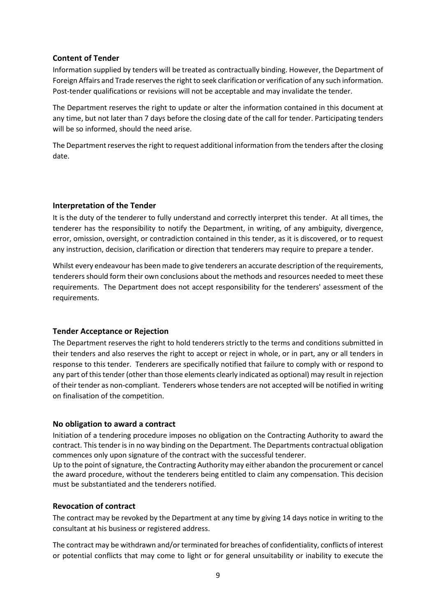## **Content of Tender**

Information supplied by tenders will be treated as contractually binding. However, the Department of Foreign Affairs and Trade reserves the right to seek clarification or verification of any such information. Post-tender qualifications or revisions will not be acceptable and may invalidate the tender.

The Department reserves the right to update or alter the information contained in this document at any time, but not later than 7 days before the closing date of the call for tender. Participating tenders will be so informed, should the need arise.

The Department reserves the right to request additional information from the tenders after the closing date.

## **Interpretation of the Tender**

It is the duty of the tenderer to fully understand and correctly interpret this tender. At all times, the tenderer has the responsibility to notify the Department, in writing, of any ambiguity, divergence, error, omission, oversight, or contradiction contained in this tender, as it is discovered, or to request any instruction, decision, clarification or direction that tenderers may require to prepare a tender.

Whilst every endeavour has been made to give tenderers an accurate description of the requirements, tenderers should form their own conclusions about the methods and resources needed to meet these requirements. The Department does not accept responsibility for the tenderers' assessment of the requirements.

## **Tender Acceptance or Rejection**

The Department reserves the right to hold tenderers strictly to the terms and conditions submitted in their tenders and also reserves the right to accept or reject in whole, or in part, any or all tenders in response to this tender. Tenderers are specifically notified that failure to comply with or respond to any part of this tender (other than those elements clearly indicated as optional) may result in rejection of their tender as non-compliant. Tenderers whose tenders are not accepted will be notified in writing on finalisation of the competition.

#### **No obligation to award a contract**

Initiation of a tendering procedure imposes no obligation on the Contracting Authority to award the contract. This tender is in no way binding on the Department. The Departments contractual obligation commences only upon signature of the contract with the successful tenderer.

Up to the point of signature, the Contracting Authority may either abandon the procurement or cancel the award procedure, without the tenderers being entitled to claim any compensation. This decision must be substantiated and the tenderers notified.

## **Revocation of contract**

The contract may be revoked by the Department at any time by giving 14 days notice in writing to the consultant at his business or registered address.

The contract may be withdrawn and/or terminated for breaches of confidentiality, conflicts of interest or potential conflicts that may come to light or for general unsuitability or inability to execute the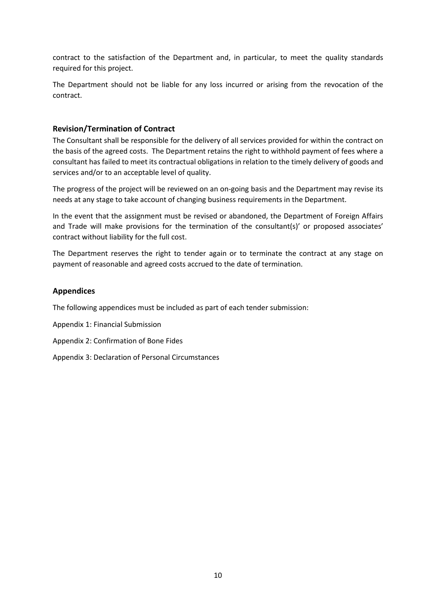contract to the satisfaction of the Department and, in particular, to meet the quality standards required for this project.

The Department should not be liable for any loss incurred or arising from the revocation of the contract.

## **Revision/Termination of Contract**

The Consultant shall be responsible for the delivery of all services provided for within the contract on the basis of the agreed costs. The Department retains the right to withhold payment of fees where a consultant has failed to meet its contractual obligations in relation to the timely delivery of goods and services and/or to an acceptable level of quality.

The progress of the project will be reviewed on an on-going basis and the Department may revise its needs at any stage to take account of changing business requirements in the Department.

In the event that the assignment must be revised or abandoned, the Department of Foreign Affairs and Trade will make provisions for the termination of the consultant(s)' or proposed associates' contract without liability for the full cost.

The Department reserves the right to tender again or to terminate the contract at any stage on payment of reasonable and agreed costs accrued to the date of termination.

### **Appendices**

The following appendices must be included as part of each tender submission:

Appendix 1: Financial Submission

- Appendix 2: Confirmation of Bone Fides
- Appendix 3: Declaration of Personal Circumstances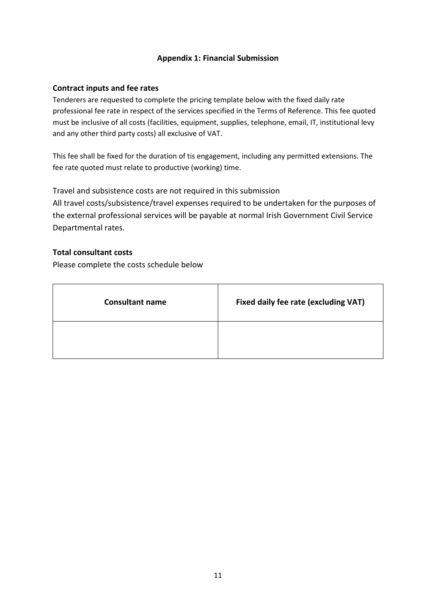# **Appendix 1: Financial Submission**

## **Contract inputs and fee rates**

Tenderers are requested to complete the pricing template below with the fixed daily rate professional fee rate in respect of the services specified in the Terms of Reference. This fee quoted must be inclusive of all costs (facilities, equipment, supplies, telephone, email, IT, institutional levy and any other third party costs) all exclusive of VAT.

This fee shall be fixed for the duration of tis engagement, including any permitted extensions. The fee rate quoted must relate to productive (working) time.

Travel and subsistence costs are not required in this submission All travel costs/subsistence/travel expenses required to be undertaken for the purposes of the external professional services will be payable at normal Irish Government Civil Service Departmental rates.

## **Total consultant costs**

Please complete the costs schedule below

| <b>Consultant name</b> | Fixed daily fee rate (excluding VAT) |
|------------------------|--------------------------------------|
|                        |                                      |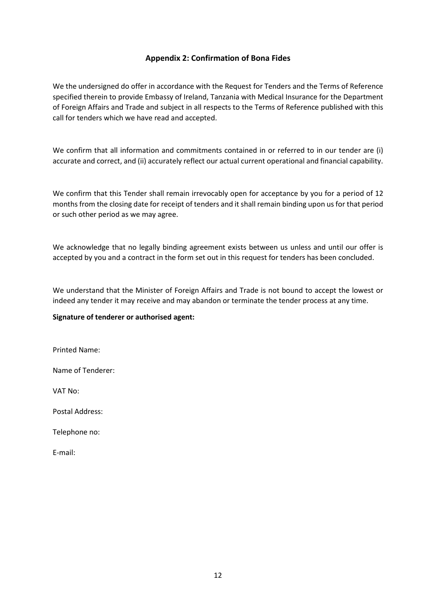## **Appendix 2: Confirmation of Bona Fides**

We the undersigned do offer in accordance with the Request for Tenders and the Terms of Reference specified therein to provide Embassy of Ireland, Tanzania with Medical Insurance for the Department of Foreign Affairs and Trade and subject in all respects to the Terms of Reference published with this call for tenders which we have read and accepted.

We confirm that all information and commitments contained in or referred to in our tender are (i) accurate and correct, and (ii) accurately reflect our actual current operational and financial capability.

We confirm that this Tender shall remain irrevocably open for acceptance by you for a period of 12 months from the closing date for receipt of tenders and it shall remain binding upon us for that period or such other period as we may agree.

We acknowledge that no legally binding agreement exists between us unless and until our offer is accepted by you and a contract in the form set out in this request for tenders has been concluded.

We understand that the Minister of Foreign Affairs and Trade is not bound to accept the lowest or indeed any tender it may receive and may abandon or terminate the tender process at any time.

#### **Signature of tenderer or authorised agent:**

Printed Name:

Name of Tenderer:

VAT No:

Postal Address:

Telephone no:

E-mail: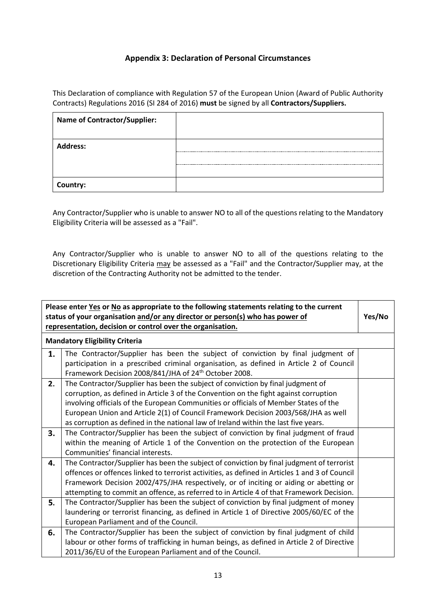## **Appendix 3: Declaration of Personal Circumstances**

This Declaration of compliance with Regulation 57 of the European Union (Award of Public Authority Contracts) Regulations 2016 (SI 284 of 2016) **must** be signed by all **Contractors/Suppliers.**

| <b>Name of Contractor/Supplier:</b> |  |
|-------------------------------------|--|
|                                     |  |
| <b>Address:</b>                     |  |
|                                     |  |
|                                     |  |
| Country:                            |  |

Any Contractor/Supplier who is unable to answer NO to all of the questions relating to the Mandatory Eligibility Criteria will be assessed as a "Fail".

Any Contractor/Supplier who is unable to answer NO to all of the questions relating to the Discretionary Eligibility Criteria may be assessed as a "Fail" and the Contractor/Supplier may, at the discretion of the Contracting Authority not be admitted to the tender.

| Please enter Yes or No as appropriate to the following statements relating to the current<br>status of your organisation and/or any director or person(s) who has power of<br>representation, decision or control over the organisation. |                                                                                                                                                                                                                                                                                                                                                                                                                                               |  |
|------------------------------------------------------------------------------------------------------------------------------------------------------------------------------------------------------------------------------------------|-----------------------------------------------------------------------------------------------------------------------------------------------------------------------------------------------------------------------------------------------------------------------------------------------------------------------------------------------------------------------------------------------------------------------------------------------|--|
| <b>Mandatory Eligibility Criteria</b>                                                                                                                                                                                                    |                                                                                                                                                                                                                                                                                                                                                                                                                                               |  |
| 1.                                                                                                                                                                                                                                       | The Contractor/Supplier has been the subject of conviction by final judgment of<br>participation in a prescribed criminal organisation, as defined in Article 2 of Council<br>Framework Decision 2008/841/JHA of 24 <sup>th</sup> October 2008.                                                                                                                                                                                               |  |
| 2.                                                                                                                                                                                                                                       | The Contractor/Supplier has been the subject of conviction by final judgment of<br>corruption, as defined in Article 3 of the Convention on the fight against corruption<br>involving officials of the European Communities or officials of Member States of the<br>European Union and Article 2(1) of Council Framework Decision 2003/568/JHA as well<br>as corruption as defined in the national law of Ireland within the last five years. |  |
| 3.                                                                                                                                                                                                                                       | The Contractor/Supplier has been the subject of conviction by final judgment of fraud<br>within the meaning of Article 1 of the Convention on the protection of the European<br>Communities' financial interests.                                                                                                                                                                                                                             |  |
| 4.                                                                                                                                                                                                                                       | The Contractor/Supplier has been the subject of conviction by final judgment of terrorist<br>offences or offences linked to terrorist activities, as defined in Articles 1 and 3 of Council<br>Framework Decision 2002/475/JHA respectively, or of inciting or aiding or abetting or<br>attempting to commit an offence, as referred to in Article 4 of that Framework Decision.                                                              |  |
| 5.                                                                                                                                                                                                                                       | The Contractor/Supplier has been the subject of conviction by final judgment of money<br>laundering or terrorist financing, as defined in Article 1 of Directive 2005/60/EC of the<br>European Parliament and of the Council.                                                                                                                                                                                                                 |  |
| 6.                                                                                                                                                                                                                                       | The Contractor/Supplier has been the subject of conviction by final judgment of child<br>labour or other forms of trafficking in human beings, as defined in Article 2 of Directive<br>2011/36/EU of the European Parliament and of the Council.                                                                                                                                                                                              |  |